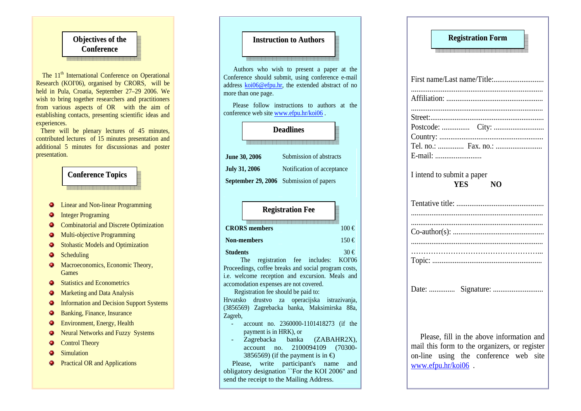### **Objectives of theConference**

The 11<sup>th</sup> International Conference on Operational Research (KOI'06), organised by CRORS, will be held in Pula, Croatia, September 27–29 2006. We wish to bring together researchers and practitioners from various aspects of OR with the aim of establishing contacts, presenting scientific ideas and experiences.

 There will be plenary lectures of 45 minutes, contributed lectures of 15 minutes presentation and additional 5 minutes for discussionas and poster presentation.

#### **Conference <sup>T</sup>opics**

- Linear and Non-linear Programming  $\bullet$
- Integer Programing ۰
- Combinatorial and Discrete Optimization  $\bullet$
- Multi-objective Programming  $\bullet$
- Stohastic Models and Optimization ۰
- Scheduling  $\bullet$
- Macroeconomics, Economic Theory, ۰ Games
- Statistics and Econometrics  $\bullet$
- Marketing and Data Analysis
- Information and Decision Support Systems ۰
- Banking, Finance, Insurance  $\bullet$
- ۰ Environment, Energy, Health
- ۰ Neural Networks and Fuzzy Systems
- Control Theory  $\bullet$
- $\bullet$ **Simulation**
- **Practical OR and Applications**

#### **Instruction to Authors**

Authors who wish to present a paper at the Conference should submit, using conference e-mail address koi06@efpu.hr, the extended abstract of no more than one page.

 Please follow instructions to authors at the conference web site www.efpu.hr/koi06 .

#### **Deadlines**

| <b>June 30, 2006</b> | Submission of abstracts                 |
|----------------------|-----------------------------------------|
| <b>July 31, 2006</b> | Notification of acceptance              |
|                      | September 29, 2006 Submission of papers |

# **CRORS members** 100 €**Non-members** 150 €**Students** 30 €**RegistrationFee**

 The registration fee includes: KOI'06 Proceedings, coffee breaks and social program costs, i.e. welcome reception and excursion. Meals and accomodation expenses are not covered.

 Registration fee should be paid to: Hrvatsko drustvo za operacijska istrazivanja,

 (3856569) Zagrebacka banka, Maksimirska 88a, Zagreb,

- account no. 2360000-1101418273 (if the payment is in HRK), or
- Zagrebacka banka (ZABAHR2X), account no. 2100094109 (70300-3856569) (if the payment is in  $\epsilon$ )

 Please, write participant's name and obligatory designation ``For the KOI 2006'' and send the receipt to the Mailing Address.

| <b>Registration Form</b>                                                         |
|----------------------------------------------------------------------------------|
|                                                                                  |
|                                                                                  |
|                                                                                  |
|                                                                                  |
| I intend to submit a paper<br><b>YES</b><br>N()                                  |
|                                                                                  |
|                                                                                  |
|                                                                                  |
| Date:  Signature:                                                                |
| $\mathbf{r}$ and $\mathbf{r}$ and $\mathbf{r}$ and $\mathbf{r}$ and $\mathbf{r}$ |

 Please, fill in the above information and mail this form to the organizers, or register on-line using the conference web site www.efpu.hr/koi06 .